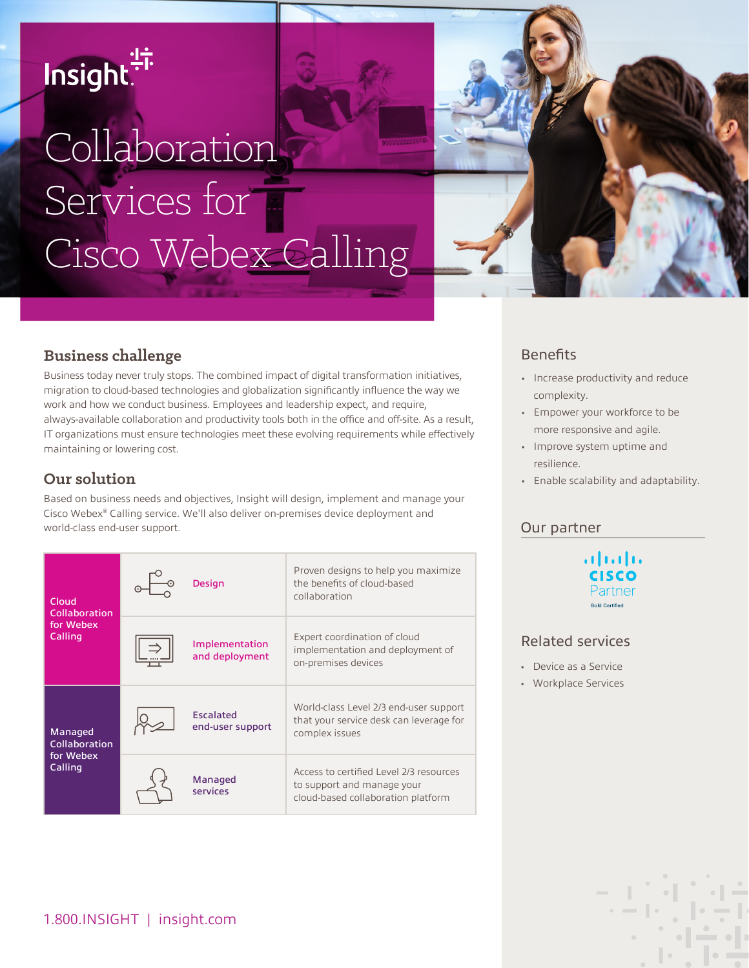# Insight.<sup>"</sup>

# Collaboration Services for Cisco Webex Calling



## **Business challenge**

Business today never truly stops. The combined impact of digital transformation initiatives, migration to cloud-based technologies and globalization significantly influence the way we work and how we conduct business. Employees and leadership expect, and require, always-available collaboration and productivity tools both in the office and off-site. As a result, IT organizations must ensure technologies meet these evolving requirements while effectively maintaining or lowering cost.

# **Our solution**

Based on business needs and objectives, Insight will design, implement and manage your Cisco Webex® Calling service. We'll also deliver on-premises device deployment and world-class end-user support.

| Cloud<br>Collaboration<br>for Webex<br>Calling          | Design                               | Proven designs to help you maximize<br>the benefits of cloud-based<br>collaboration                         |
|---------------------------------------------------------|--------------------------------------|-------------------------------------------------------------------------------------------------------------|
|                                                         | Implementation<br>and deployment     | Expert coordination of cloud<br>implementation and deployment of<br>on-premises devices                     |
| Managed<br><b>Collaboration</b><br>for Webex<br>Calling | <b>Escalated</b><br>end-user support | World-class Level 2/3 end-user support<br>that your service desk can leverage for<br>complex issues         |
|                                                         | <b>Managed</b><br>services           | Access to certified Level 2/3 resources<br>to support and manage your<br>cloud-based collaboration platform |

# **Benefits**

- Increase productivity and reduce complexity.
- Empower your workforce to be more responsive and agile.
- Improve system uptime and resilience.
- Enable scalability and adaptability.

#### Our partner

altalia Partner **Gold Certified** 

#### Related services

- Device as a Service
- Workplace Services